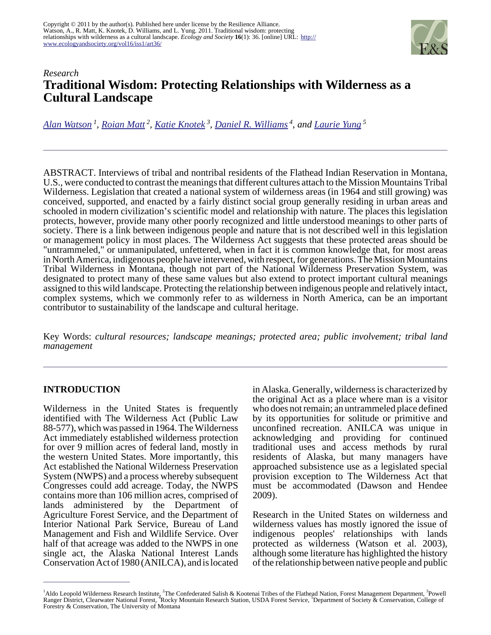

# *Research* **Traditional Wisdom: Protecting Relationships with Wilderness as a Cultural Landscape**

*[Alan Watson](mailto:awatson@fs.fed.us)<sup>1</sup> , [Roian Matt](mailto:greeneyednativewoman@yahoo.com)<sup>2</sup> , [Katie Knotek](mailto:kknotek@fs.fed.us)<sup>3</sup> , [Daniel R. Williams](mailto:drwilliams@fs.fed.us)<sup>4</sup>, and [Laurie Yung](mailto:laurie.yung@umontana.edu)<sup>5</sup>*

ABSTRACT. Interviews of tribal and nontribal residents of the Flathead Indian Reservation in Montana, U.S., were conducted to contrast the meanings that different cultures attach to the Mission Mountains Tribal Wilderness. Legislation that created a national system of wilderness areas (in 1964 and still growing) was conceived, supported, and enacted by a fairly distinct social group generally residing in urban areas and schooled in modern civilization's scientific model and relationship with nature. The places this legislation protects, however, provide many other poorly recognized and little understood meanings to other parts of society. There is a link between indigenous people and nature that is not described well in this legislation or management policy in most places. The Wilderness Act suggests that these protected areas should be "untrammeled," or unmanipulated, unfettered, when in fact it is common knowledge that, for most areas in North America, indigenous people have intervened, with respect, for generations. The Mission Mountains Tribal Wilderness in Montana, though not part of the National Wilderness Preservation System, was designated to protect many of these same values but also extend to protect important cultural meanings assigned to this wild landscape. Protecting the relationship between indigenous people and relatively intact, complex systems, which we commonly refer to as wilderness in North America, can be an important contributor to sustainability of the landscape and cultural heritage.

Key Words: *cultural resources; landscape meanings; protected area; public involvement; tribal land management*

# **INTRODUCTION**

Wilderness in the United States is frequently identified with The Wilderness Act (Public Law 88-577), which was passed in 1964. The Wilderness Act immediately established wilderness protection for over 9 million acres of federal land, mostly in the western United States. More importantly, this Act established the National Wilderness Preservation System (NWPS) and a process whereby subsequent Congresses could add acreage. Today, the NWPS contains more than 106 million acres, comprised of lands administered by the Department of Agriculture Forest Service, and the Department of Interior National Park Service, Bureau of Land Management and Fish and Wildlife Service. Over half of that acreage was added to the NWPS in one single act, the Alaska National Interest Lands Conservation Act of 1980 (ANILCA), and is located

in Alaska. Generally, wilderness is characterized by the original Act as a place where man is a visitor who does not remain; an untrammeled place defined by its opportunities for solitude or primitive and unconfined recreation. ANILCA was unique in acknowledging and providing for continued traditional uses and access methods by rural residents of Alaska, but many managers have approached subsistence use as a legislated special provision exception to The Wilderness Act that must be accommodated (Dawson and Hendee 2009).

Research in the United States on wilderness and wilderness values has mostly ignored the issue of indigenous peoples' relationships with lands protected as wilderness (Watson et al. 2003), although some literature has highlighted the history of the relationship between native people and public

<sup>&</sup>lt;sup>1</sup>Aldo Leopold Wilderness Research Institute, <sup>2</sup>The Confederated Salish & Kootenai Tribes of the Flathead Nation, Forest Management Department, <sup>3</sup>Powell<br>Ranger District, Clearwater National Forest, <sup>4</sup>Rocky Mountain Res Forestry & Conservation, The University of Montana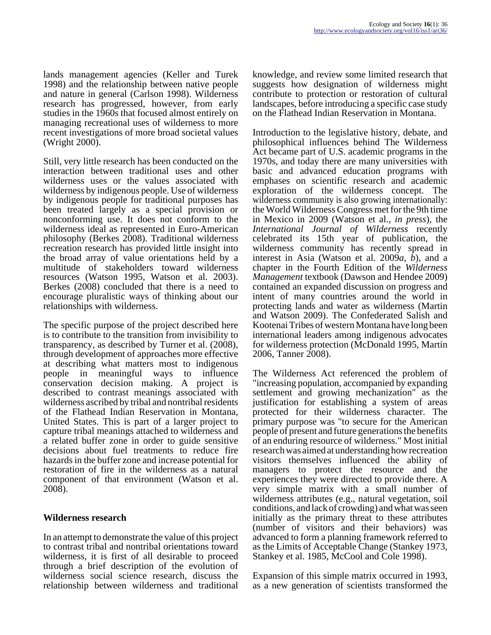lands management agencies (Keller and Turek 1998) and the relationship between native people and nature in general (Carlson 1998). Wilderness research has progressed, however, from early studies in the 1960s that focused almost entirely on managing recreational uses of wilderness to more recent investigations of more broad societal values (Wright 2000).

Still, very little research has been conducted on the interaction between traditional uses and other wilderness uses or the values associated with wilderness by indigenous people. Use of wilderness by indigenous people for traditional purposes has been treated largely as a special provision or nonconforming use. It does not conform to the wilderness ideal as represented in Euro-American philosophy (Berkes 2008). Traditional wilderness recreation research has provided little insight into the broad array of value orientations held by a multitude of stakeholders toward wilderness resources (Watson 1995, Watson et al. 2003). Berkes (2008) concluded that there is a need to encourage pluralistic ways of thinking about our relationships with wilderness.

The specific purpose of the project described here is to contribute to the transition from invisibility to transparency, as described by Turner et al. (2008), through development of approaches more effective at describing what matters most to indigenous people in meaningful ways to influence conservation decision making. A project is described to contrast meanings associated with wilderness ascribed by tribal and nontribal residents of the Flathead Indian Reservation in Montana, United States. This is part of a larger project to capture tribal meanings attached to wilderness and a related buffer zone in order to guide sensitive decisions about fuel treatments to reduce fire hazards in the buffer zone and increase potential for restoration of fire in the wilderness as a natural component of that environment (Watson et al. 2008).

## **Wilderness research**

In an attempt to demonstrate the value of this project to contrast tribal and nontribal orientations toward wilderness, it is first of all desirable to proceed through a brief description of the evolution of wilderness social science research, discuss the relationship between wilderness and traditional

knowledge, and review some limited research that suggests how designation of wilderness might contribute to protection or restoration of cultural landscapes, before introducing a specific case study on the Flathead Indian Reservation in Montana.

Introduction to the legislative history, debate, and philosophical influences behind The Wilderness Act became part of U.S. academic programs in the 1970s, and today there are many universities with basic and advanced education programs with emphases on scientific research and academic exploration of the wilderness concept. The wilderness community is also growing internationally: the World Wilderness Congress met for the 9th time in Mexico in 2009 (Watson et al., *in press*), the *International Journal of Wilderness* recently celebrated its 15th year of publication, the wilderness community has recently spread in interest in Asia (Watson et al. 2009*a, b*), and a chapter in the Fourth Edition of the *Wilderness Management* textbook (Dawson and Hendee 2009) contained an expanded discussion on progress and intent of many countries around the world in protecting lands and water as wilderness (Martin and Watson 2009). The Confederated Salish and Kootenai Tribes of western Montana have long been international leaders among indigenous advocates for wilderness protection (McDonald 1995, Martin 2006, Tanner 2008).

The Wilderness Act referenced the problem of "increasing population, accompanied by expanding settlement and growing mechanization" as the justification for establishing a system of areas protected for their wilderness character. The primary purpose was "to secure for the American people of present and future generations the benefits of an enduring resource of wilderness." Most initial research was aimed at understanding how recreation visitors themselves influenced the ability of managers to protect the resource and the experiences they were directed to provide there. A very simple matrix with a small number of wilderness attributes (e.g., natural vegetation, soil conditions, and lack of crowding) and what was seen initially as the primary threat to these attributes (number of visitors and their behaviors) was advanced to form a planning framework referred to as the Limits of Acceptable Change (Stankey 1973, Stankey et al. 1985, McCool and Cole 1998).

Expansion of this simple matrix occurred in 1993, as a new generation of scientists transformed the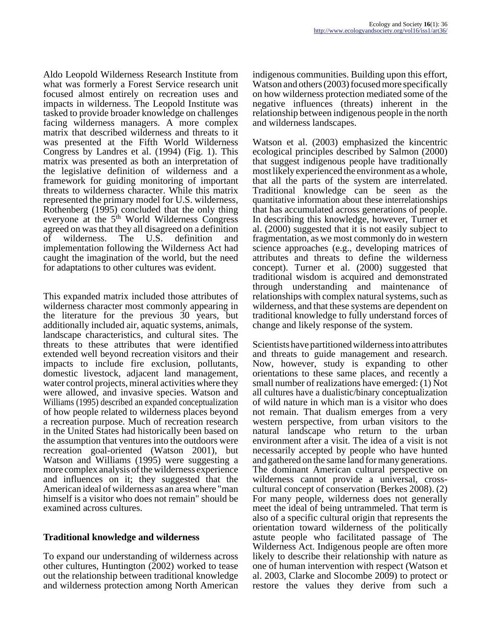Aldo Leopold Wilderness Research Institute from what was formerly a Forest Service research unit focused almost entirely on recreation uses and impacts in wilderness. The Leopold Institute was tasked to provide broader knowledge on challenges facing wilderness managers. A more complex matrix that described wilderness and threats to it was presented at the Fifth World Wilderness Congress by Landres et al. (1994) (Fig. 1). This matrix was presented as both an interpretation of the legislative definition of wilderness and a framework for guiding monitoring of important threats to wilderness character. While this matrix represented the primary model for U.S. wilderness, Rothenberg (1995) concluded that the only thing everyone at the 5th World Wilderness Congress agreed on was that they all disagreed on a definition of wilderness. The U.S. definition and implementation following the Wilderness Act had caught the imagination of the world, but the need for adaptations to other cultures was evident.

This expanded matrix included those attributes of wilderness character most commonly appearing in the literature for the previous 30 years, but additionally included air, aquatic systems, animals, landscape characteristics, and cultural sites. The threats to these attributes that were identified extended well beyond recreation visitors and their impacts to include fire exclusion, pollutants, domestic livestock, adjacent land management, water control projects, mineral activities where they were allowed, and invasive species. Watson and Williams (1995) described an expanded conceptualization of how people related to wilderness places beyond a recreation purpose. Much of recreation research in the United States had historically been based on the assumption that ventures into the outdoors were recreation goal-oriented (Watson 2001), but Watson and Williams (1995) were suggesting a more complex analysis of the wilderness experience and influences on it; they suggested that the American ideal of wilderness as an area where "man himself is a visitor who does not remain" should be examined across cultures.

## **Traditional knowledge and wilderness**

To expand our understanding of wilderness across other cultures, Huntington (2002) worked to tease out the relationship between traditional knowledge and wilderness protection among North American

indigenous communities. Building upon this effort, Watson and others (2003) focused more specifically on how wilderness protection mediated some of the negative influences (threats) inherent in the relationship between indigenous people in the north and wilderness landscapes.

Watson et al. (2003) emphasized the kincentric ecological principles described by Salmon (2000) that suggest indigenous people have traditionally most likely experienced the environment as a whole, that all the parts of the system are interrelated. Traditional knowledge can be seen as the quantitative information about these interrelationships that has accumulated across generations of people. In describing this knowledge, however, Turner et al. (2000) suggested that it is not easily subject to fragmentation, as we most commonly do in western science approaches (e.g., developing matrices of attributes and threats to define the wilderness concept). Turner et al. (2000) suggested that traditional wisdom is acquired and demonstrated through understanding and maintenance of relationships with complex natural systems, such as wilderness, and that these systems are dependent on traditional knowledge to fully understand forces of change and likely response of the system.

Scientists have partitioned wilderness into attributes and threats to guide management and research. Now, however, study is expanding to other orientations to these same places, and recently a small number of realizations have emerged: (1) Not all cultures have a dualistic/binary conceptualization of wild nature in which man is a visitor who does not remain. That dualism emerges from a very western perspective, from urban visitors to the natural landscape who return to the urban environment after a visit. The idea of a visit is not necessarily accepted by people who have hunted and gathered on the same land for many generations. The dominant American cultural perspective on wilderness cannot provide a universal, crosscultural concept of conservation (Berkes 2008). (2) For many people, wilderness does not generally meet the ideal of being untrammeled. That term is also of a specific cultural origin that represents the orientation toward wilderness of the politically astute people who facilitated passage of The Wilderness Act. Indigenous people are often more likely to describe their relationship with nature as one of human intervention with respect (Watson et al. 2003, Clarke and Slocombe 2009) to protect or restore the values they derive from such a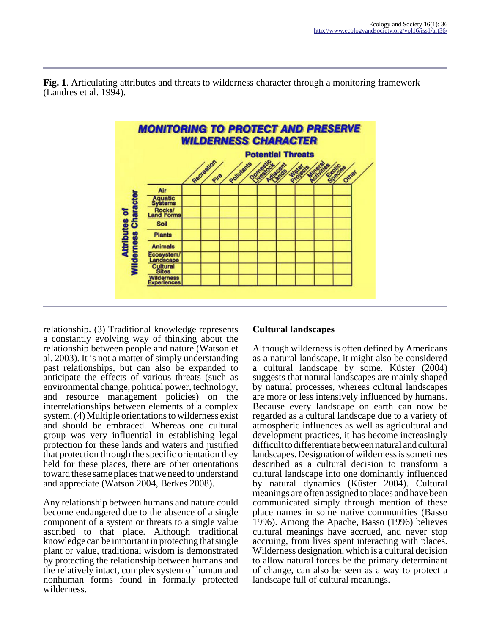

**Fig. 1**. Articulating attributes and threats to wilderness character through a monitoring framework (Landres et al. 1994).

relationship. (3) Traditional knowledge represents a constantly evolving way of thinking about the relationship between people and nature (Watson et al. 2003). It is not a matter of simply understanding past relationships, but can also be expanded to anticipate the effects of various threats (such as environmental change, political power, technology, and resource management policies) on the interrelationships between elements of a complex system. (4) Multiple orientations to wilderness exist and should be embraced. Whereas one cultural group was very influential in establishing legal protection for these lands and waters and justified that protection through the specific orientation they held for these places, there are other orientations toward these same places that we need to understand and appreciate (Watson 2004, Berkes 2008).

Any relationship between humans and nature could become endangered due to the absence of a single component of a system or threats to a single value ascribed to that place. Although traditional knowledge can be important in protecting that single plant or value, traditional wisdom is demonstrated by protecting the relationship between humans and the relatively intact, complex system of human and nonhuman forms found in formally protected wilderness.

## **Cultural landscapes**

Although wilderness is often defined by Americans as a natural landscape, it might also be considered a cultural landscape by some. Küster (2004) suggests that natural landscapes are mainly shaped by natural processes, whereas cultural landscapes are more or less intensively influenced by humans. Because every landscape on earth can now be regarded as a cultural landscape due to a variety of atmospheric influences as well as agricultural and development practices, it has become increasingly difficult to differentiate between natural and cultural landscapes. Designation of wilderness is sometimes described as a cultural decision to transform a cultural landscape into one dominantly influenced by natural dynamics (Küster 2004). Cultural meanings are often assigned to places and have been communicated simply through mention of these place names in some native communities (Basso 1996). Among the Apache, Basso (1996) believes cultural meanings have accrued, and never stop accruing, from lives spent interacting with places. Wilderness designation, which is a cultural decision to allow natural forces be the primary determinant of change, can also be seen as a way to protect a landscape full of cultural meanings.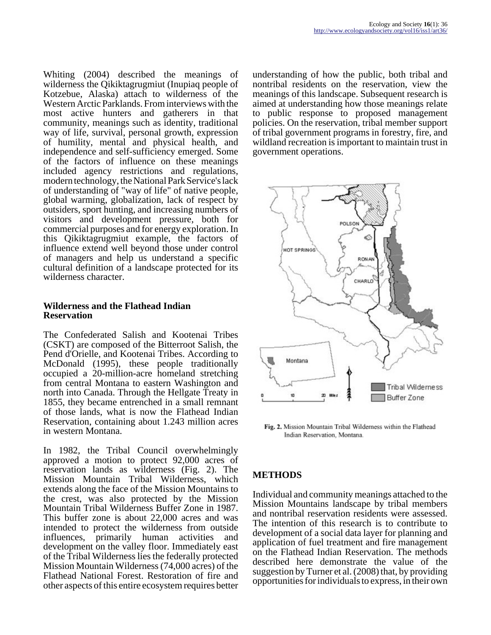Whiting (2004) described the meanings of wilderness the Qikiktagrugmiut (Inupiaq people of Kotzebue, Alaska) attach to wilderness of the Western Arctic Parklands. From interviews with the most active hunters and gatherers in that community, meanings such as identity, traditional way of life, survival, personal growth, expression of humility, mental and physical health, and independence and self-sufficiency emerged. Some of the factors of influence on these meanings included agency restrictions and regulations, modern technology, the National Park Service's lack of understanding of "way of life" of native people, global warming, globalization, lack of respect by outsiders, sport hunting, and increasing numbers of visitors and development pressure, both for commercial purposes and for energy exploration. In this Qikiktagrugmiut example, the factors of influence extend well beyond those under control of managers and help us understand a specific cultural definition of a landscape protected for its wilderness character.

### **Wilderness and the Flathead Indian Reservation**

The Confederated Salish and Kootenai Tribes (CSKT) are composed of the Bitterroot Salish, the Pend d'Orielle, and Kootenai Tribes. According to McDonald (1995), these people traditionally occupied a 20-million-acre homeland stretching from central Montana to eastern Washington and north into Canada. Through the Hellgate Treaty in 1855, they became entrenched in a small remnant of those lands, what is now the Flathead Indian Reservation, containing about 1.243 million acres in western Montana.

In 1982, the Tribal Council overwhelmingly approved a motion to protect 92,000 acres of reservation lands as wilderness (Fig. 2). The Mission Mountain Tribal Wilderness, which extends along the face of the Mission Mountains to the crest, was also protected by the Mission Mountain Tribal Wilderness Buffer Zone in 1987. This buffer zone is about 22,000 acres and was intended to protect the wilderness from outside influences, primarily human activities and development on the valley floor. Immediately east of the Tribal Wilderness lies the federally protected Mission Mountain Wilderness (74,000 acres) of the Flathead National Forest. Restoration of fire and other aspects of this entire ecosystem requires better

understanding of how the public, both tribal and nontribal residents on the reservation, view the meanings of this landscape. Subsequent research is aimed at understanding how those meanings relate to public response to proposed management policies. On the reservation, tribal member support of tribal government programs in forestry, fire, and wildland recreation is important to maintain trust in government operations.



Fig. 2. Mission Mountain Tribal Wilderness within the Flathead Indian Reservation, Montana.

# **METHODS**

Individual and community meanings attached to the Mission Mountains landscape by tribal members and nontribal reservation residents were assessed. The intention of this research is to contribute to development of a social data layer for planning and application of fuel treatment and fire management on the Flathead Indian Reservation. The methods described here demonstrate the value of the suggestion by Turner et al. (2008) that, by providing opportunities for individuals to express, in their own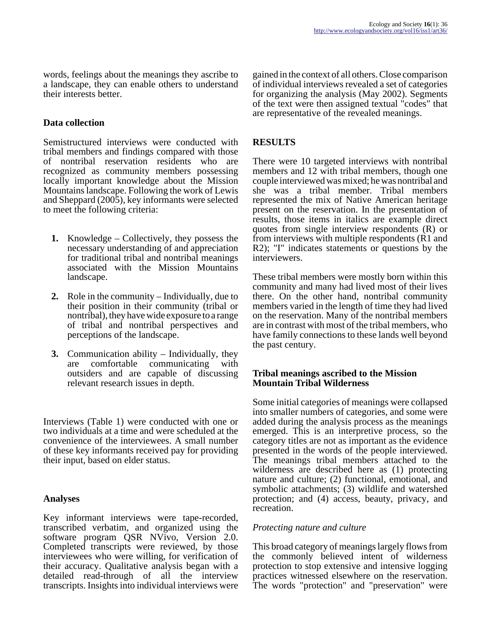words, feelings about the meanings they ascribe to a landscape, they can enable others to understand their interests better.

## **Data collection**

Semistructured interviews were conducted with tribal members and findings compared with those of nontribal reservation residents who are recognized as community members possessing locally important knowledge about the Mission Mountains landscape. Following the work of Lewis and Sheppard (2005), key informants were selected to meet the following criteria:

- **1.** Knowledge Collectively, they possess the necessary understanding of and appreciation for traditional tribal and nontribal meanings associated with the Mission Mountains landscape.
- **2.** Role in the community Individually, due to their position in their community (tribal or nontribal), they have wide exposure to a range of tribal and nontribal perspectives and perceptions of the landscape.
- **3.** Communication ability Individually, they are comfortable communicating with outsiders and are capable of discussing relevant research issues in depth.

Interviews (Table 1) were conducted with one or two individuals at a time and were scheduled at the convenience of the interviewees. A small number of these key informants received pay for providing their input, based on elder status.

## **Analyses**

Key informant interviews were tape-recorded, transcribed verbatim, and organized using the software program QSR NVivo, Version 2.0. Completed transcripts were reviewed, by those interviewees who were willing, for verification of their accuracy. Qualitative analysis began with a detailed read-through of all the interview transcripts. Insights into individual interviews were

gained in the context of all others. Close comparison of individual interviews revealed a set of categories for organizing the analysis (May 2002). Segments of the text were then assigned textual "codes" that are representative of the revealed meanings.

### **RESULTS**

There were 10 targeted interviews with nontribal members and 12 with tribal members, though one couple interviewed was mixed; he was nontribal and she was a tribal member. Tribal members represented the mix of Native American heritage present on the reservation. In the presentation of results, those items in italics are example direct quotes from single interview respondents (R) or from interviews with multiple respondents (R1 and R2); "I" indicates statements or questions by the interviewers.

These tribal members were mostly born within this community and many had lived most of their lives there. On the other hand, nontribal community members varied in the length of time they had lived on the reservation. Many of the nontribal members are in contrast with most of the tribal members, who have family connections to these lands well beyond the past century.

### **Tribal meanings ascribed to the Mission Mountain Tribal Wilderness**

Some initial categories of meanings were collapsed into smaller numbers of categories, and some were added during the analysis process as the meanings emerged. This is an interpretive process, so the category titles are not as important as the evidence presented in the words of the people interviewed. The meanings tribal members attached to the wilderness are described here as (1) protecting nature and culture; (2) functional, emotional, and symbolic attachments; (3) wildlife and watershed protection; and (4) access, beauty, privacy, and recreation.

### *Protecting nature and culture*

This broad category of meanings largely flows from the commonly believed intent of wilderness protection to stop extensive and intensive logging practices witnessed elsewhere on the reservation. The words "protection" and "preservation" were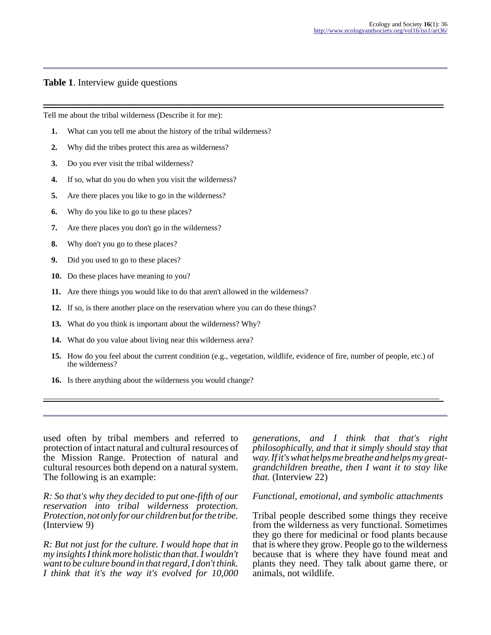### **Table 1**. Interview guide questions

Tell me about the tribal wilderness (Describe it for me):

- **1.** What can you tell me about the history of the tribal wilderness?
- **2.** Why did the tribes protect this area as wilderness?
- **3.** Do you ever visit the tribal wilderness?
- **4.** If so, what do you do when you visit the wilderness?
- **5.** Are there places you like to go in the wilderness?
- **6.** Why do you like to go to these places?
- **7.** Are there places you don't go in the wilderness?
- **8.** Why don't you go to these places?
- **9.** Did you used to go to these places?
- **10.** Do these places have meaning to you?
- **11.** Are there things you would like to do that aren't allowed in the wilderness?
- **12.** If so, is there another place on the reservation where you can do these things?
- **13.** What do you think is important about the wilderness? Why?
- **14.** What do you value about living near this wilderness area?
- **15.** How do you feel about the current condition (e.g., vegetation, wildlife, evidence of fire, number of people, etc.) of the wilderness?
- **16.** Is there anything about the wilderness you would change?

used often by tribal members and referred to protection of intact natural and cultural resources of the Mission Range. Protection of natural and cultural resources both depend on a natural system. The following is an example:

*R: So that's why they decided to put one-fifth of our reservation into tribal wilderness protection. Protection, not only for our children but for the tribe.* (Interview 9)

*R: But not just for the culture. I would hope that in my insights I think more holistic than that. I wouldn't want to be culture bound in that regard, I don't think. I think that it's the way it's evolved for 10,000* *generations, and I think that that's right philosophically, and that it simply should stay that way. If it's what helps me breathe and helps my greatgrandchildren breathe, then I want it to stay like that.* (Interview 22)

#### *Functional, emotional, and symbolic attachments*

Tribal people described some things they receive from the wilderness as very functional. Sometimes they go there for medicinal or food plants because that is where they grow. People go to the wilderness because that is where they have found meat and plants they need. They talk about game there, or animals, not wildlife.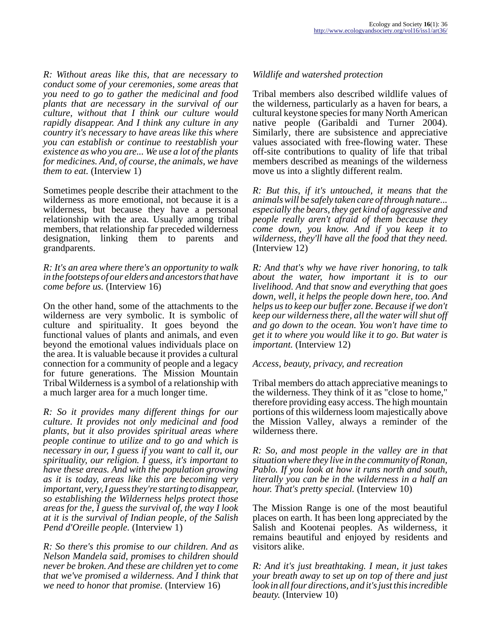*R: Without areas like this, that are necessary to conduct some of your ceremonies, some areas that you need to go to gather the medicinal and food plants that are necessary in the survival of our culture, without that I think our culture would rapidly disappear. And I think any culture in any country it's necessary to have areas like this where you can establish or continue to reestablish your existence as who you are... We use a lot of the plants for medicines. And, of course, the animals, we have them to eat.* (Interview 1)

Sometimes people describe their attachment to the wilderness as more emotional, not because it is a wilderness, but because they have a personal relationship with the area. Usually among tribal members, that relationship far preceded wilderness designation, linking them to parents and grandparents.

*R: It's an area where there's an opportunity to walk in the footsteps of our elders and ancestors that have come before us.* (Interview 16)

On the other hand, some of the attachments to the wilderness are very symbolic. It is symbolic of culture and spirituality. It goes beyond the functional values of plants and animals, and even beyond the emotional values individuals place on the area. It is valuable because it provides a cultural connection for a community of people and a legacy for future generations. The Mission Mountain Tribal Wilderness is a symbol of a relationship with a much larger area for a much longer time.

*R: So it provides many different things for our culture. It provides not only medicinal and food plants, but it also provides spiritual areas where people continue to utilize and to go and which is necessary in our, I guess if you want to call it, our spirituality, our religion. I guess, it's important to have these areas. And with the population growing as it is today, areas like this are becoming very important, very, I guess they're starting to disappear, so establishing the Wilderness helps protect those areas for the, I guess the survival of, the way I look at it is the survival of Indian people, of the Salish Pend d'Oreille people.* (Interview 1)

*R: So there's this promise to our children. And as Nelson Mandela said, promises to children should never be broken. And these are children yet to come that we've promised a wilderness. And I think that we need to honor that promise.* (Interview 16)

## *Wildlife and watershed protection*

Tribal members also described wildlife values of the wilderness, particularly as a haven for bears, a cultural keystone species for many North American native people (Garibaldi and Turner 2004). Similarly, there are subsistence and appreciative values associated with free-flowing water. These off-site contributions to quality of life that tribal members described as meanings of the wilderness move us into a slightly different realm.

*R: But this, if it's untouched, it means that the animals will be safely taken care of through nature... especially the bears, they get kind of aggressive and people really aren't afraid of them because they come down, you know. And if you keep it to wilderness, they'll have all the food that they need.* (Interview 12)

*R: And that's why we have river honoring, to talk about the water, how important it is to our livelihood. And that snow and everything that goes down, well, it helps the people down here, too. And helps us to keep our buffer zone. Because if we don't keep our wilderness there, all the water will shut off and go down to the ocean. You won't have time to get it to where you would like it to go. But water is important.* (Interview 12)

*Access, beauty, privacy, and recreation*

Tribal members do attach appreciative meanings to the wilderness. They think of it as "close to home," therefore providing easy access. The high mountain portions of this wilderness loom majestically above the Mission Valley, always a reminder of the wilderness there.

*R: So, and most people in the valley are in that situation where they live in the community of Ronan, Pablo. If you look at how it runs north and south, literally you can be in the wilderness in a half an hour. That's pretty special.* (Interview 10)

The Mission Range is one of the most beautiful places on earth. It has been long appreciated by the Salish and Kootenai peoples. As wilderness, it remains beautiful and enjoyed by residents and visitors alike.

*R: And it's just breathtaking. I mean, it just takes your breath away to set up on top of there and just look in all four directions, and it's just this incredible beauty.* (Interview 10)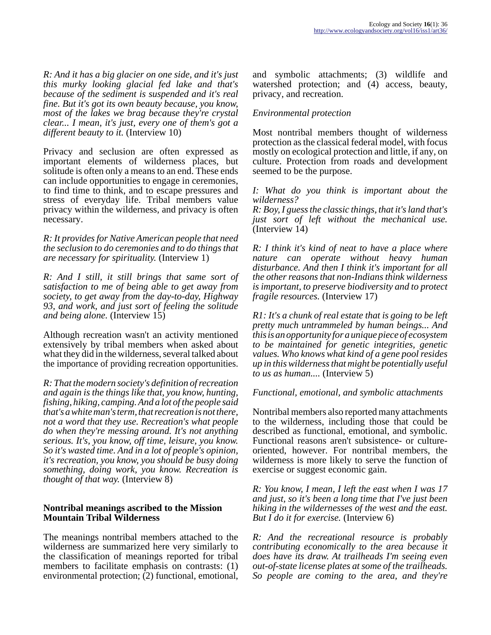*R: And it has a big glacier on one side, and it's just this murky looking glacial fed lake and that's because of the sediment is suspended and it's real fine. But it's got its own beauty because, you know, most of the lakes we brag because they're crystal clear... I mean, it's just, every one of them's got a different beauty to it.* (Interview 10)

Privacy and seclusion are often expressed as important elements of wilderness places, but solitude is often only a means to an end. These ends can include opportunities to engage in ceremonies, to find time to think, and to escape pressures and stress of everyday life. Tribal members value privacy within the wilderness, and privacy is often necessary.

*R: It provides for Native American people that need the seclusion to do ceremonies and to do things that are necessary for spirituality.* (Interview 1)

*R: And I still, it still brings that same sort of satisfaction to me of being able to get away from society, to get away from the day-to-day, Highway 93, and work, and just sort of feeling the solitude and being alone.* (Interview 15)

Although recreation wasn't an activity mentioned extensively by tribal members when asked about what they did in the wilderness, several talked about the importance of providing recreation opportunities.

*R: That the modern society's definition of recreation and again is the things like that, you know, hunting, fishing, hiking, camping. And a lot of the people said that's a white man's term, that recreation is not there, not a word that they use. Recreation's what people do when they're messing around. It's not anything serious. It's, you know, off time, leisure, you know. So it's wasted time. And in a lot of people's opinion, it's recreation, you know, you should be busy doing something, doing work, you know. Recreation is thought of that way.* (Interview 8)

### **Nontribal meanings ascribed to the Mission Mountain Tribal Wilderness**

The meanings nontribal members attached to the wilderness are summarized here very similarly to the classification of meanings reported for tribal members to facilitate emphasis on contrasts: (1) environmental protection; (2) functional, emotional,

and symbolic attachments; (3) wildlife and watershed protection; and (4) access, beauty, privacy, and recreation.

## *Environmental protection*

Most nontribal members thought of wilderness protection as the classical federal model, with focus mostly on ecological protection and little, if any, on culture. Protection from roads and development seemed to be the purpose.

*I: What do you think is important about the wilderness?*

*R: Boy, I guess the classic things, that it's land that's just sort of left without the mechanical use.* (Interview 14)

*R: I think it's kind of neat to have a place where nature can operate without heavy human disturbance. And then I think it's important for all the other reasons that non-Indians think wilderness is important, to preserve biodiversity and to protect fragile resources.* (Interview 17)

*R1: It's a chunk of real estate that is going to be left pretty much untrammeled by human beings... And this is an opportunity for a unique piece of ecosystem to be maintained for genetic integrities, genetic values. Who knows what kind of a gene pool resides up in this wilderness that might be potentially useful to us as human....* (Interview 5)

## *Functional, emotional, and symbolic attachments*

Nontribal members also reported many attachments to the wilderness, including those that could be described as functional, emotional, and symbolic. Functional reasons aren't subsistence- or cultureoriented, however. For nontribal members, the wilderness is more likely to serve the function of exercise or suggest economic gain.

*R: You know, I mean, I left the east when I was 17 and just, so it's been a long time that I've just been hiking in the wildernesses of the west and the east. But I do it for exercise.* (Interview 6)

*R: And the recreational resource is probably contributing economically to the area because it does have its draw. At trailheads I'm seeing even out-of-state license plates at some of the trailheads. So people are coming to the area, and they're*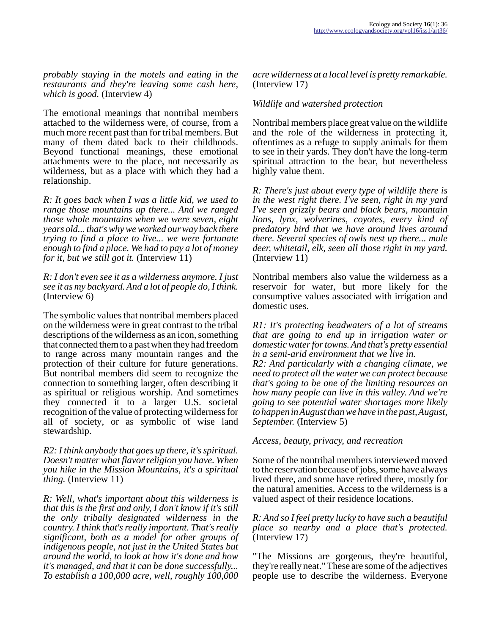*probably staying in the motels and eating in the restaurants and they're leaving some cash here, which is good.* (Interview 4)

The emotional meanings that nontribal members attached to the wilderness were, of course, from a much more recent past than for tribal members. But many of them dated back to their childhoods. Beyond functional meanings, these emotional attachments were to the place, not necessarily as wilderness, but as a place with which they had a relationship.

*R: It goes back when I was a little kid, we used to range those mountains up there... And we ranged those whole mountains when we were seven, eight years old... that's why we worked our way back there trying to find a place to live... we were fortunate enough to find a place. We had to pay a lot of money for it, but we still got it.* (Interview 11)

*R: I don't even see it as a wilderness anymore. I just see it as my backyard. And a lot of people do, I think.* (Interview 6)

The symbolic values that nontribal members placed on the wilderness were in great contrast to the tribal descriptions of the wilderness as an icon, something that connected them to a past when they had freedom to range across many mountain ranges and the protection of their culture for future generations. But nontribal members did seem to recognize the connection to something larger, often describing it as spiritual or religious worship. And sometimes they connected it to a larger U.S. societal recognition of the value of protecting wilderness for all of society, or as symbolic of wise land stewardship.

*R2: I think anybody that goes up there, it's spiritual. Doesn't matter what flavor religion you have. When you hike in the Mission Mountains, it's a spiritual thing.* (Interview 11)

*R: Well, what's important about this wilderness is that this is the first and only, I don't know if it's still the only tribally designated wilderness in the country. I think that's really important. That's really significant, both as a model for other groups of indigenous people, not just in the United States but around the world, to look at how it's done and how it's managed, and that it can be done successfully... To establish a 100,000 acre, well, roughly 100,000*

*acre wilderness at a local level is pretty remarkable.* (Interview 17)

### *Wildlife and watershed protection*

Nontribal members place great value on the wildlife and the role of the wilderness in protecting it, oftentimes as a refuge to supply animals for them to see in their yards. They don't have the long-term spiritual attraction to the bear, but nevertheless highly value them.

*R: There's just about every type of wildlife there is in the west right there. I've seen, right in my yard I've seen grizzly bears and black bears, mountain lions, lynx, wolverines, coyotes, every kind of predatory bird that we have around lives around there. Several species of owls nest up there... mule deer, whitetail, elk, seen all those right in my yard.* (Interview 11)

Nontribal members also value the wilderness as a reservoir for water, but more likely for the consumptive values associated with irrigation and domestic uses.

*R1: It's protecting headwaters of a lot of streams that are going to end up in irrigation water or domestic water for towns. And that's pretty essential in a semi-arid environment that we live in.*

*R2: And particularly with a changing climate, we need to protect all the water we can protect because that's going to be one of the limiting resources on how many people can live in this valley. And we're going to see potential water shortages more likely to happen in August than we have in the past, August, September.* (Interview 5)

### *Access, beauty, privacy, and recreation*

Some of the nontribal members interviewed moved to the reservation because of jobs, some have always lived there, and some have retired there, mostly for the natural amenities. Access to the wilderness is a valued aspect of their residence locations.

*R: And so I feel pretty lucky to have such a beautiful place so nearby and a place that's protected.* (Interview 17)

"The Missions are gorgeous, they're beautiful, they're really neat." These are some of the adjectives people use to describe the wilderness. Everyone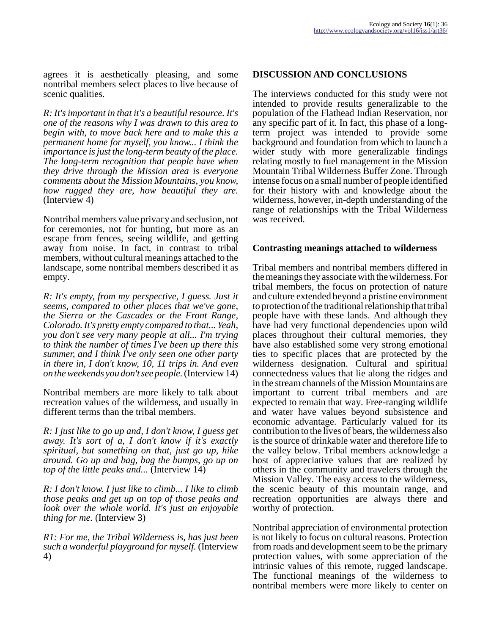agrees it is aesthetically pleasing, and some nontribal members select places to live because of scenic qualities.

*R: It's important in that it's a beautiful resource. It's one of the reasons why I was drawn to this area to begin with, to move back here and to make this a permanent home for myself, you know... I think the importance is just the long-term beauty of the place. The long-term recognition that people have when they drive through the Mission area is everyone comments about the Mission Mountains, you know, how rugged they are, how beautiful they are.* (Interview 4)

Nontribal members value privacy and seclusion, not for ceremonies, not for hunting, but more as an escape from fences, seeing wildlife, and getting away from noise. In fact, in contrast to tribal members, without cultural meanings attached to the landscape, some nontribal members described it as empty.

*R: It's empty, from my perspective, I guess. Just it seems, compared to other places that we've gone, the Sierra or the Cascades or the Front Range, Colorado. It's pretty empty compared to that... Yeah, you don't see very many people at all... I'm trying to think the number of times I've been up there this summer, and I think I've only seen one other party in there in, I don't know, 10, 11 trips in. And even on the weekends you don't see people.* (Interview 14)

Nontribal members are more likely to talk about recreation values of the wilderness, and usually in different terms than the tribal members.

*R: I just like to go up and, I don't know, I guess get away. It's sort of a, I don't know if it's exactly spiritual, but something on that, just go up, hike around. Go up and bag, bag the bumps, go up on top of the little peaks and...* (Interview 14)

*R: I don't know. I just like to climb... I like to climb those peaks and get up on top of those peaks and look over the whole world. It's just an enjoyable thing for me.* (Interview 3)

*R1: For me, the Tribal Wilderness is, has just been such a wonderful playground for myself.* (Interview 4)

## **DISCUSSION AND CONCLUSIONS**

The interviews conducted for this study were not intended to provide results generalizable to the population of the Flathead Indian Reservation, nor any specific part of it. In fact, this phase of a longterm project was intended to provide some background and foundation from which to launch a wider study with more generalizable findings relating mostly to fuel management in the Mission Mountain Tribal Wilderness Buffer Zone. Through intense focus on a small number of people identified for their history with and knowledge about the wilderness, however, in-depth understanding of the range of relationships with the Tribal Wilderness was received.

### **Contrasting meanings attached to wilderness**

Tribal members and nontribal members differed in the meanings they associate with the wilderness. For tribal members, the focus on protection of nature and culture extended beyond a pristine environment to protection of the traditional relationship that tribal people have with these lands. And although they have had very functional dependencies upon wild places throughout their cultural memories, they have also established some very strong emotional ties to specific places that are protected by the wilderness designation. Cultural and spiritual connectedness values that lie along the ridges and in the stream channels of the Mission Mountains are important to current tribal members and are expected to remain that way. Free-ranging wildlife and water have values beyond subsistence and economic advantage. Particularly valued for its contribution to the lives of bears, the wilderness also is the source of drinkable water and therefore life to the valley below. Tribal members acknowledge a host of appreciative values that are realized by others in the community and travelers through the Mission Valley. The easy access to the wilderness, the scenic beauty of this mountain range, and recreation opportunities are always there and worthy of protection.

Nontribal appreciation of environmental protection is not likely to focus on cultural reasons. Protection from roads and development seem to be the primary protection values, with some appreciation of the intrinsic values of this remote, rugged landscape. The functional meanings of the wilderness to nontribal members were more likely to center on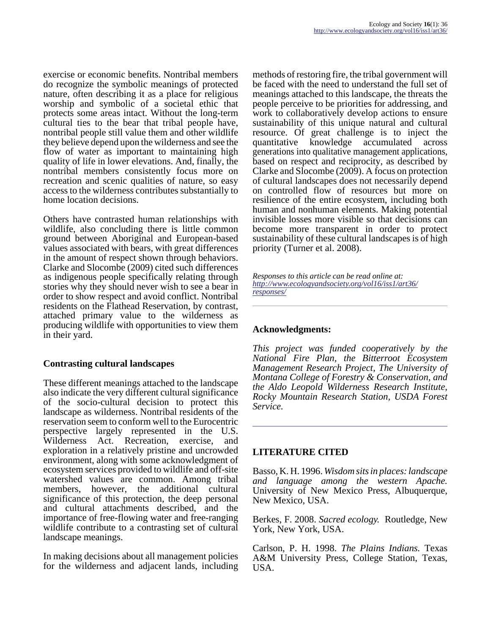exercise or economic benefits. Nontribal members do recognize the symbolic meanings of protected nature, often describing it as a place for religious worship and symbolic of a societal ethic that protects some areas intact. Without the long-term cultural ties to the bear that tribal people have, nontribal people still value them and other wildlife they believe depend upon the wilderness and see the flow of water as important to maintaining high quality of life in lower elevations. And, finally, the nontribal members consistently focus more on recreation and scenic qualities of nature, so easy access to the wilderness contributes substantially to home location decisions.

Others have contrasted human relationships with wildlife, also concluding there is little common ground between Aboriginal and European-based values associated with bears, with great differences in the amount of respect shown through behaviors. Clarke and Slocombe (2009) cited such differences as indigenous people specifically relating through stories why they should never wish to see a bear in order to show respect and avoid conflict. Nontribal residents on the Flathead Reservation, by contrast, attached primary value to the wilderness as producing wildlife with opportunities to view them in their yard.

## **Contrasting cultural landscapes**

These different meanings attached to the landscape also indicate the very different cultural significance of the socio-cultural decision to protect this landscape as wilderness. Nontribal residents of the reservation seem to conform well to the Eurocentric perspective largely represented in the U.S. Wilderness Act. Recreation, exercise, and exploration in a relatively pristine and uncrowded environment, along with some acknowledgment of ecosystem services provided to wildlife and off-site watershed values are common. Among tribal members, however, the additional cultural significance of this protection, the deep personal and cultural attachments described, and the importance of free-flowing water and free-ranging wildlife contribute to a contrasting set of cultural landscape meanings.

In making decisions about all management policies for the wilderness and adjacent lands, including methods of restoring fire, the tribal government will be faced with the need to understand the full set of meanings attached to this landscape, the threats the people perceive to be priorities for addressing, and work to collaboratively develop actions to ensure sustainability of this unique natural and cultural resource. Of great challenge is to inject the quantitative knowledge accumulated across quantitative knowledge accumulated generations into qualitative management applications, based on respect and reciprocity, as described by Clarke and Slocombe (2009). A focus on protection of cultural landscapes does not necessarily depend on controlled flow of resources but more on resilience of the entire ecosystem, including both human and nonhuman elements. Making potential invisible losses more visible so that decisions can become more transparent in order to protect sustainability of these cultural landscapes is of high priority (Turner et al. 2008).

*Responses to this article can be read online at: [http://www](http://www.ecologyandsociety.org/vol16/iss1/art36/responses/).ecologyandsociety.org/vol16/iss1/art36/ responses/*

## **Acknowledgments:**

*This project was funded cooperatively by the National Fire Plan, the Bitterroot Ecosystem Management Research Project, The University of Montana College of Forestry & Conservation, and the Aldo Leopold Wilderness Research Institute, Rocky Mountain Research Station, USDA Forest Service.*

## **LITERATURE CITED**

Basso, K. H. 1996. *Wisdom sits in places: landscape and language among the western Apache.* University of New Mexico Press, Albuquerque, New Mexico, USA.

Berkes, F. 2008. *Sacred ecology.* Routledge, New York, New York, USA.

Carlson, P. H. 1998. *The Plains Indians.* Texas A&M University Press, College Station, Texas, USA.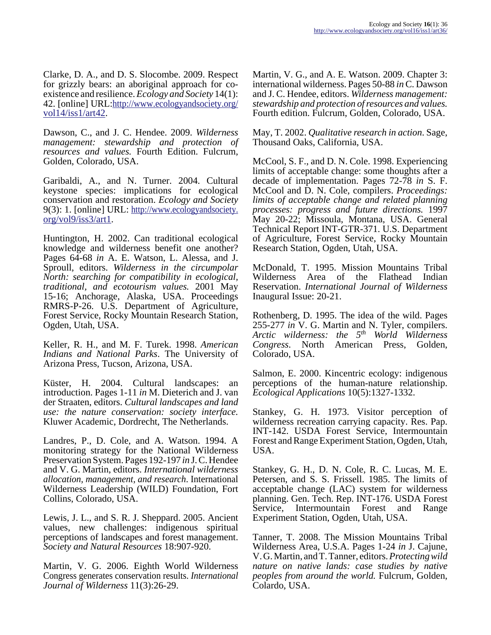Clarke, D. A., and D. S. Slocombe. 2009. Respect for grizzly bears: an aboriginal approach for coexistence and resilience. *Ecology and Society* 14(1): 42. [online] URL[:http://www.ecologyandsociety.org/](http://www.ecologyandsociety.org/vol14/iss1/art42) [vol14/iss1/art42](http://www.ecologyandsociety.org/vol14/iss1/art42).

Dawson, C., and J. C. Hendee. 2009. *Wilderness management: stewardship and protection of resources and values.* Fourth Edition. Fulcrum, Golden, Colorado, USA.

Garibaldi, A., and N. Turner. 2004. Cultural keystone species: implications for ecological conservation and restoration. *Ecology and Society* 9(3): 1. [online] URL: [http://www.ecologyandsociety.](http://www.ecologyandsociety.org/vol9/iss3/art1) [org/vol9/iss3/art1.](http://www.ecologyandsociety.org/vol9/iss3/art1)

Huntington, H. 2002. Can traditional ecological knowledge and wilderness benefit one another? Pages 64-68 *in* A. E. Watson, L. Alessa, and J. Sproull, editors. *Wilderness in the circumpolar North: searching for compatibility in ecological, traditional, and ecotourism values.* 2001 May 15-16; Anchorage, Alaska, USA. Proceedings RMRS-P-26. U.S. Department of Agriculture, Forest Service, Rocky Mountain Research Station, Ogden, Utah, USA.

Keller, R. H., and M. F. Turek. 1998. *American Indians and National Parks*. The University of Arizona Press, Tucson, Arizona, USA.

Küster, H. 2004. Cultural landscapes: an introduction. Pages 1-11 *in* M. Dieterich and J. van der Straaten, editors. *Cultural landscapes and land use: the nature conservation: society interface.* Kluwer Academic, Dordrecht, The Netherlands.

Landres, P., D. Cole, and A. Watson. 1994. A monitoring strategy for the National Wilderness Preservation System. Pages 192-197 *in* J. C. Hendee and V. G. Martin, editors. *International wilderness allocation, management, and research*. International Wilderness Leadership (WILD) Foundation, Fort Collins, Colorado, USA.

Lewis, J. L., and S. R. J. Sheppard. 2005. Ancient values, new challenges: indigenous spiritual perceptions of landscapes and forest management. *Society and Natural Resources* 18:907-920.

Martin, V. G. 2006. Eighth World Wilderness Congress generates conservation results. *International Journal of Wilderness* 11(3):26-29.

Martin, V. G., and A. E. Watson. 2009. Chapter 3: international wilderness. Pages 50-88 *in* C. Dawson and J. C. Hendee, editors. *Wilderness management: stewardship and protection of resources and values.* Fourth edition. Fulcrum, Golden, Colorado, USA.

May, T. 2002. *Qualitative research in action*. Sage, Thousand Oaks, California, USA.

McCool, S. F., and D. N. Cole. 1998. Experiencing limits of acceptable change: some thoughts after a decade of implementation. Pages 72-78 *in* S. F. McCool and D. N. Cole, compilers. *Proceedings: limits of acceptable change and related planning processes: progress and future directions.* 1997 May 20-22; Missoula, Montana, USA. General Technical Report INT-GTR-371. U.S. Department of Agriculture, Forest Service, Rocky Mountain Research Station, Ogden, Utah, USA.

McDonald, T. 1995. Mission Mountains Tribal Wilderness Area of the Flathead Indian Reservation. *International Journal of Wilderness* Inaugural Issue: 20-21.

Rothenberg, D. 1995. The idea of the wild. Pages 255-277 *in* V. G. Martin and N. Tyler, compilers. *Arctic wilderness: the 5th World Wilderness Congress*. North American Press, Golden, Colorado, USA.

Salmon, E. 2000. Kincentric ecology: indigenous perceptions of the human-nature relationship. *Ecological Applications* 10(5):1327-1332.

Stankey, G. H. 1973. Visitor perception of wilderness recreation carrying capacity. Res. Pap. INT-142. USDA Forest Service, Intermountain Forest and Range Experiment Station, Ogden, Utah, USA.

Stankey, G. H., D. N. Cole, R. C. Lucas, M. E. Petersen, and S. S. Frissell. 1985. The limits of acceptable change (LAC) system for wilderness planning. Gen. Tech. Rep. INT-176. USDA Forest Service, Intermountain Forest and Range Experiment Station, Ogden, Utah, USA.

Tanner, T. 2008. The Mission Mountains Tribal Wilderness Area, U.S.A. Pages 1-24 *in* J. Cajune, V. G. Martin, and T. Tanner, editors. *Protecting wild nature on native lands: case studies by native peoples from around the world.* Fulcrum, Golden, Colardo, USA.